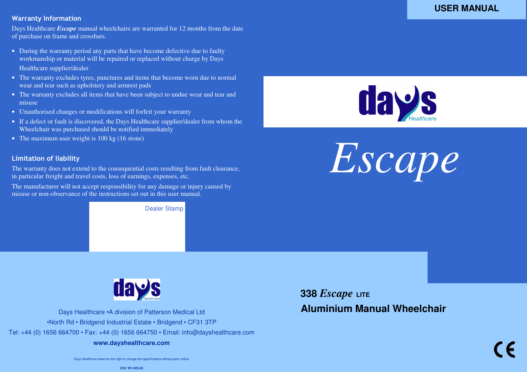# *Days Healthcare Escape Wheelchair User Manual* Warranty Information

Days Healthcare *Escape* manual wheelchairs are warranted for 12 months from the date of purchase on frame and crossbars.

- During the warranty period any parts that have become defective due to faulty workmanship or material will be repaired or replaced without charge by Days Healthcare supplier/dealer
- The warranty excludes tyres, punctures and items that become worn due to normal wear and tear such as upholstery and armrest pads
- The warranty excludes all items that have been subject to undue wear and tear and misuse
- Unauthorised changes or modifications will forfeit your warranty
- If a defect or fault is discovered, the Days Healthcare supplier/dealer from whom the Wheelchair was purchased should be notified immediately
- The maximum user weight is 100 kg (16 stone)

# Limitation of liability

The warranty does not extend to the consequential costs resulting from fault clearance, in particular freight and travel costs, loss of earnings, expenses, etc.

The manufacturer will not accept responsibility for any damage or injury caused by misuse or non-observance of the instructions set out in this user manual.

Dealer Stamp



*Escape* 



Days Healthcare •A division of Patterson Medical Ltd •North Rd • Bridgend Industrial Estate • Bridgend • CF31 3TP Tel: +44 (0) 1656 664700 • Fax: +44 (0) 1656 664750 • Email: info@dayshealthcare.com **www.dayshealthcare.com** 

**338** *Escape* **LITE Aluminium Manual Wheelchair**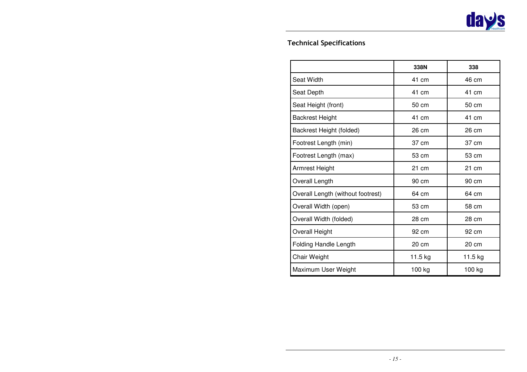# Technical Specifications

|                                   | 338N    | 338     |
|-----------------------------------|---------|---------|
| <b>Seat Width</b>                 | 41 cm   | 46 cm   |
| Seat Depth                        | 41 cm   | 41 cm   |
| Seat Height (front)               | 50 cm   | 50 cm   |
| <b>Backrest Height</b>            | 41 cm   | 41 cm   |
| Backrest Height (folded)          | 26 cm   | 26 cm   |
| Footrest Length (min)             | 37 cm   | 37 cm   |
| Footrest Length (max)             | 53 cm   | 53 cm   |
| Armrest Height                    | 21 cm   | 21 cm   |
| Overall Length                    | 90 cm   | 90 cm   |
| Overall Length (without footrest) | 64 cm   | 64 cm   |
| Overall Width (open)              | 53 cm   | 58 cm   |
| Overall Width (folded)            | 28 cm   | 28 cm   |
| Overall Height                    | 92 cm   | 92 cm   |
| Folding Handle Length             | 20 cm   | 20 cm   |
| Chair Weight                      | 11.5 kg | 11.5 kg |
| Maximum User Weight               | 100 kg  | 100 kg  |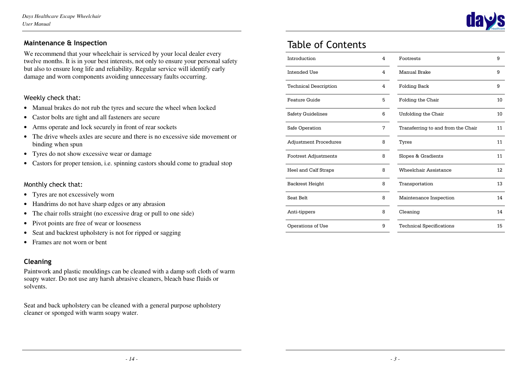# Maintenance & Inspection

We recommend that your wheelchair is serviced by your local dealer every twelve months. It is in your best interests, not only to ensure your personal safety but also to ensure long life and reliability. Regular service will identify early damage and worn components avoiding unnecessary faults occurring.

## Weekly check that:

- Manual brakes do not rub the tyres and secure the wheel when locked
- Castor bolts are tight and all fasteners are secure
- Arms operate and lock securely in front of rear sockets
- The drive wheels axles are secure and there is no excessive side movement or binding when spun
- Tyres do not show excessive wear or damage
- Castors for proper tension, i.e. spinning castors should come to gradual stop

## Monthly check that:

- Tyres are not excessively worn
- Handrims do not have sharp edges or any abrasion
- The chair rolls straight (no excessive drag or pull to one side)
- Pivot points are free of wear or looseness
- Seat and backrest upholstery is not for ripped or sagging
- Frames are not worn or bent

# Cleaning

Paintwork and plastic mouldings can be cleaned with a damp soft cloth of warm soapy water. Do not use any harsh abrasive cleaners, bleach base fluids or solvents.

Seat and back upholstery can be cleaned with a general purpose upholstery cleaner or sponged with warm soapy water.

# Table of Contents

| Introduction                 | 4 | Footrests                          | 9   |
|------------------------------|---|------------------------------------|-----|
| Intended Use                 | 4 | Manual Brake                       | 9   |
| <b>Technical Description</b> | 4 | <b>Folding Back</b>                | 9   |
| Feature Guide                | 5 | Folding the Chair                  | 10  |
| Safety Guidelines            | 6 | Unfolding the Chair                | 10  |
| Safe Operation               | 7 | Transferring to and from the Chair | 11  |
| <b>Adjustment Procedures</b> | 8 | Tyres                              | 11  |
| <b>Footrest Adjustments</b>  | 8 | Slopes & Gradients                 | 11  |
| Heel and Calf Straps         | 8 | Wheelchair Assistance              | 12. |
| Backrest Height              | 8 | Transportation                     | 13  |
| Seat Belt                    | 8 | Maintenance Inspection             | 14  |
| Anti-tippers                 | 8 | Cleaning                           | 14  |
| Operations of Use            | 9 | <b>Technical Specifications</b>    | 15  |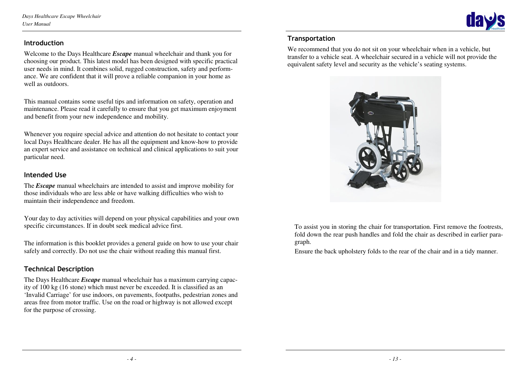

### **Introduction**

Welcome to the Days Healthcare *Escape* manual wheelchair and thank you for choosing our product. This latest model has been designed with specific practical user needs in mind. It combines solid, rugged construction, safety and performance. We are confident that it will prove a reliable companion in your home as well as outdoors.

This manual contains some useful tips and information on safety, operation and maintenance. Please read it carefully to ensure that you get maximum enjoyment and benefit from your new independence and mobility.

Whenever you require special advice and attention do not hesitate to contact your local Days Healthcare dealer. He has all the equipment and know-how to provide an expert service and assistance on technical and clinical applications to suit your particular need.

## Intended Use

The *Escape* manual wheelchairs are intended to assist and improve mobility for those individuals who are less able or have walking difficulties who wish to maintain their independence and freedom.

Your day to day activities will depend on your physical capabilities and your own specific circumstances. If in doubt seek medical advice first.

The information is this booklet provides a general guide on how to use your chair safely and correctly. Do not use the chair without reading this manual first.

# Technical Description

The Days Healthcare *Escape* manual wheelchair has a maximum carrying capacity of 100 kg (16 stone) which must never be exceeded. It is classified as an 'Invalid Carriage' for use indoors, on pavements, footpaths, pedestrian zones and areas free from motor traffic. Use on the road or highway is not allowed except for the purpose of crossing.

# **Transportation**

We recommend that you do not sit on your wheelchair when in a vehicle, but transfer to a vehicle seat. A wheelchair secured in a vehicle will not provide the equivalent safety level and security as the vehicle's seating systems.



To assist you in storing the chair for transportation. First remove the footrests, fold down the rear push handles and fold the chair as described in earlier paragraph.

Ensure the back upholstery folds to the rear of the chair and in a tidy manner.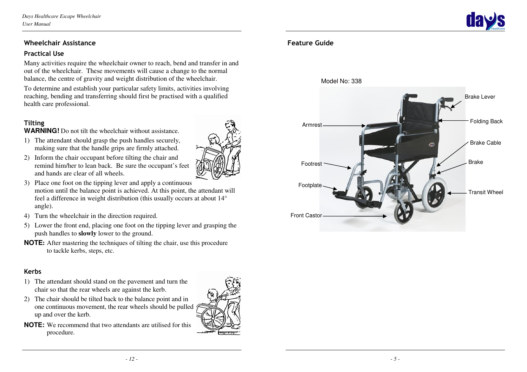## Wheelchair Assistance

#### Practical Use

Many activities require the wheelchair owner to reach, bend and transfer in and out of the wheelchair. These movements will cause a change to the normal balance, the centre of gravity and weight distribution of the wheelchair.

To determine and establish your particular safety limits, activities involving reaching, bending and transferring should first be practised with a qualified health care professional.

# Tilting

**WARNING!** Do not tilt the wheelchair without assistance.

- 1) The attendant should grasp the push handles securely, making sure that the handle grips are firmly attached.
- 2) Inform the chair occupant before tilting the chair and remind him/her to lean back. Be sure the occupant's feet and hands are clear of all wheels.
- 3) Place one foot on the tipping lever and apply a continuous motion until the balance point is achieved. At this point, the attendant will feel a difference in weight distribution (this usually occurs at about 14° angle).
- 4) Turn the wheelchair in the direction required.
- 5) Lower the front end, placing one foot on the tipping lever and grasping the push handles to **slowly** lower to the ground.
- **NOTE**: After mastering the techniques of tilting the chair, use this procedure to tackle kerbs, steps, etc.

#### Kerbs

- 1) The attendant should stand on the pavement and turn the chair so that the rear wheels are against the kerb.
- 2) The chair should be tilted back to the balance point and in one continuous movement, the rear wheels should be pulled up and over the kerb.
- **NOTE:** We recommend that two attendants are utilised for this procedure.







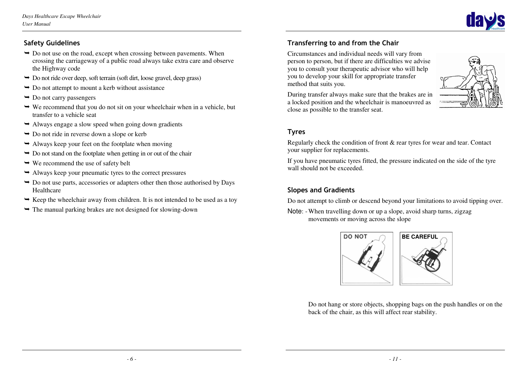

# Safety Guidelines

- $\rightarrow$  Do not use on the road, except when crossing between pavements. When crossing the carriageway of a public road always take extra care and observe the Highway code
- $\rightarrow$  Do not ride over deep, soft terrain (soft dirt, loose gravel, deep grass)
- $\rightarrow$  Do not attempt to mount a kerb without assistance
- $\rightarrow$  Do not carry passengers
- $\rightarrow$  We recommend that you do not sit on your wheelchair when in a vehicle, but transfer to a vehicle seat
- $\rightarrow$  Always engage a slow speed when going down gradients
- $\rightarrow$  Do not ride in reverse down a slope or kerb
- $\rightarrow$  Always keep your feet on the footplate when moving
- $\rightarrow$  Do not stand on the footplate when getting in or out of the chair
- $\rightarrow$  We recommend the use of safety belt
- Always keep your pneumatic tyres to the correct pressures
- $\rightarrow$  Do not use parts, accessories or adapters other then those authorised by Days Healthcare
- $\rightarrow$  Keep the wheelchair away from children. It is not intended to be used as a toy
- $\rightarrow$  The manual parking brakes are not designed for slowing-down

# Transferring to and from the Chair

Circumstances and individual needs will vary from person to person, but if there are difficulties we advise you to consult your therapeutic advisor who will help you to develop your skill for appropriate transfer method that suits you.



During transfer always make sure that the brakes are in a locked position and the wheelchair is manoeuvred as close as possible to the transfer seat.

# Tyres

Regularly check the condition of front & rear tyres for wear and tear. Contact your supplier for replacements.

If you have pneumatic tyres fitted, the pressure indicated on the side of the tyre wall should not be exceeded.

# Slopes and Gradients

Do not attempt to climb or descend beyond your limitations to avoid tipping over.

Note: - When travelling down or up a slope, avoid sharp turns, zigzag movements or moving across the slope



 Do not hang or store objects, shopping bags on the push handles or on the back of the chair, as this will affect rear stability.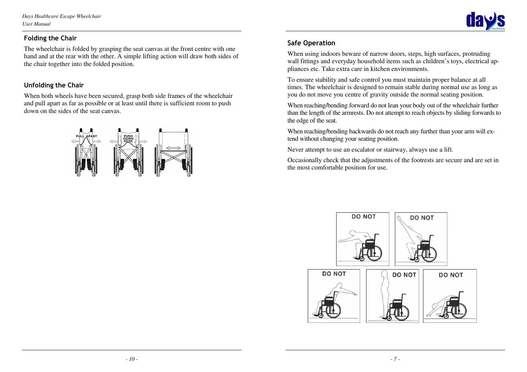*Days Healthcare Escape Wheelchair User Manual* 

# Folding the Chair

The wheelchair is folded by grasping the seat canvas at the front centre with one hand and at the rear with the other. A simple lifting action will draw both sides of the chair together into the folded position.

# Unfolding the Chair

When both wheels have been secured, grasp both side frames of the wheelchair and pull apart as far as possible or at least until there is sufficient room to push down on the sides of the seat canvas.



# Safe Operation

When using indoors beware of narrow doors, steps, high surfaces, protruding wall fittings and everyday household items such as children's toys, electrical appliances etc. Take extra care in kitchen environments.

To ensure stability and safe control you must maintain proper balance at all times. The wheelchair is designed to remain stable during normal use as long as you do not move you centre of gravity outside the normal seating position.

When reaching/bending forward do not lean your body out of the wheelchair further than the length of the armrests. Do not attempt to reach objects by sliding forwards to the edge of the seat.

When reaching/bending backwards do not reach any further than your arm will extend without changing your seating position.

Never attempt to use an escalator or stairway, always use a lift.

Occasionally check that the adjustments of the footrests are secure and are set in the most comfortable position for use.